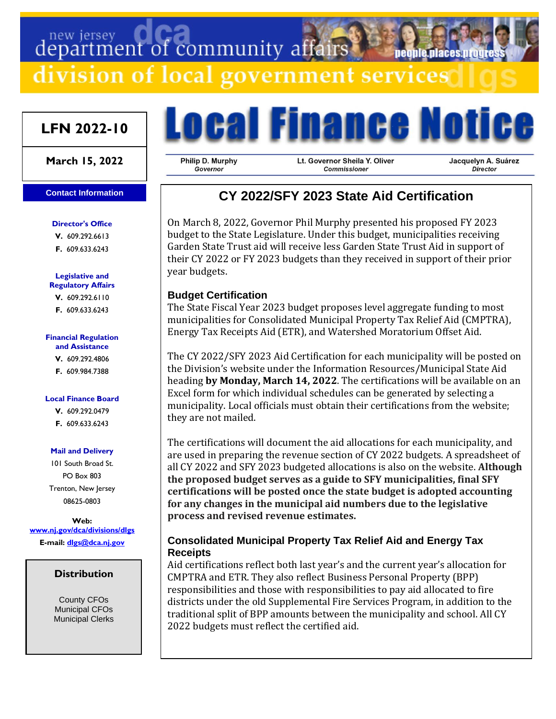# department of community affairs

division of local government services

## **LFN 2022-10**

### **March 15, 2022**

### **Contact Information**

**Director's Office V.** 609.292.6613

**F.** 609.633.6243

#### **Legislative and Regulatory Affairs**

**V.** 609.292.6110 **F.** 609.633.6243

#### **Financial Regulation and Assistance**

**V.** 609.292.4806 **F.** 609.984.7388

### **Local Finance Board**

**V.** 609.292.0479 **F.** 609.633.6243

### **Mail and Delivery**

101 South Broad St. PO Box 803 Trenton, New Jersey 08625-0803

**Web: [www.nj.gov/dca/divisions/dlgs](http://www.nj.gov/dca/divisions/dlgs) E-mail: [dlgs@dca.nj.gov](mailto:dlgs@dca.nj.gov)**

### **Distribution**

County CFOs Municipal CFOs Municipal Clerks



Philip D. Murphy Governor

Lt. Governor Sheila Y. Oliver Commissioner

Jacquelyn A. Suárez Director

neonie niaces nroc

# **CY 2022/SFY 2023 State Aid Certification**

On March 8, 2022, Governor Phil Murphy presented his proposed FY 2023 budget to the State Legislature. Under this budget, municipalities receiving Garden State Trust aid will receive less Garden State Trust Aid in support of their CY 2022 or FY 2023 budgets than they received in support of their prior year budgets.

### **Budget Certification**

The State Fiscal Year 2023 budget proposes level aggregate funding to most municipalities for Consolidated Municipal Property Tax Relief Aid (CMPTRA), Energy Tax Receipts Aid (ETR), and Watershed Moratorium Offset Aid.

The CY 2022/SFY 2023 Aid Certification for each municipality will be posted on the Division's website under the Information Resources/Municipal State Aid heading **by Monday, March 14, 2022**. The certifications will be available on an Excel form for which individual schedules can be generated by selecting a municipality. Local officials must obtain their certifications from the website; they are not mailed.

The certifications will document the aid allocations for each municipality, and are used in preparing the revenue section of CY 2022 budgets. A spreadsheet of all CY 2022 and SFY 2023 budgeted allocations is also on the website. **Although the proposed budget serves as a guide to SFY municipalities, final SFY certifications will be posted once the state budget is adopted accounting for any changes in the municipal aid numbers due to the legislative process and revised revenue estimates.**

### **Consolidated Municipal Property Tax Relief Aid and Energy Tax Receipts**

Aid certifications reflect both last year's and the current year's allocation for CMPTRA and ETR. They also reflect Business Personal Property (BPP) responsibilities and those with responsibilities to pay aid allocated to fire districts under the old Supplemental Fire Services Program, in addition to the traditional split of BPP amounts between the municipality and school. All CY 2022 budgets must reflect the certified aid.